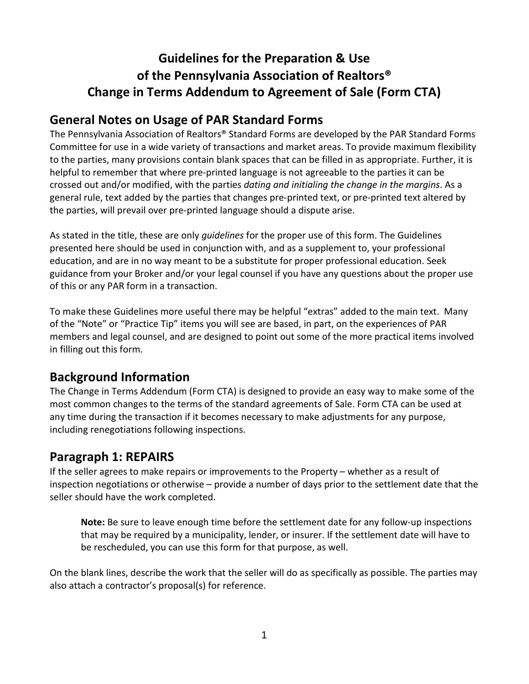# **Guidelines for the Preparation & Use of the Pennsylvania Association of Realtors® Change in Terms Addendum to Agreement of Sale (Form CTA)**

# **General Notes on Usage of PAR Standard Forms**

The Pennsylvania Association of Realtors® Standard Forms are developed by the PAR Standard Forms Committee for use in a wide variety of transactions and market areas. To provide maximum flexibility to the parties, many provisions contain blank spaces that can be filled in as appropriate. Further, it is helpful to remember that where pre-printed language is not agreeable to the parties it can be crossed out and/or modified, with the parties *dating and initialing the change in the margins*. As a general rule, text added by the parties that changes pre-printed text, or pre-printed text altered by the parties, will prevail over pre-printed language should a dispute arise.

As stated in the title, these are only *guidelines* for the proper use of this form. The Guidelines presented here should be used in conjunction with, and as a supplement to, your professional education, and are in no way meant to be a substitute for proper professional education. Seek guidance from your Broker and/or your legal counsel if you have any questions about the proper use of this or any PAR form in a transaction.

To make these Guidelines more useful there may be helpful "extras" added to the main text. Many of the "Note" or "Practice Tip" items you will see are based, in part, on the experiences of PAR members and legal counsel, and are designed to point out some of the more practical items involved in filling out this form.

# **Background Information**

The Change in Terms Addendum (Form CTA) is designed to provide an easy way to make some of the most common changes to the terms of the standard agreements of Sale. Form CTA can be used at any time during the transaction if it becomes necessary to make adjustments for any purpose, including renegotiations following inspections.

## **Paragraph 1: REPAIRS**

If the seller agrees to make repairs or improvements to the Property – whether as a result of inspection negotiations or otherwise – provide a number of days prior to the settlement date that the seller should have the work completed.

**Note:** Be sure to leave enough time before the settlement date for any follow-up inspections that may be required by a municipality, lender, or insurer. If the settlement date will have to be rescheduled, you can use this form for that purpose, as well.

On the blank lines, describe the work that the seller will do as specifically as possible. The parties may also attach a contractor's proposal(s) for reference.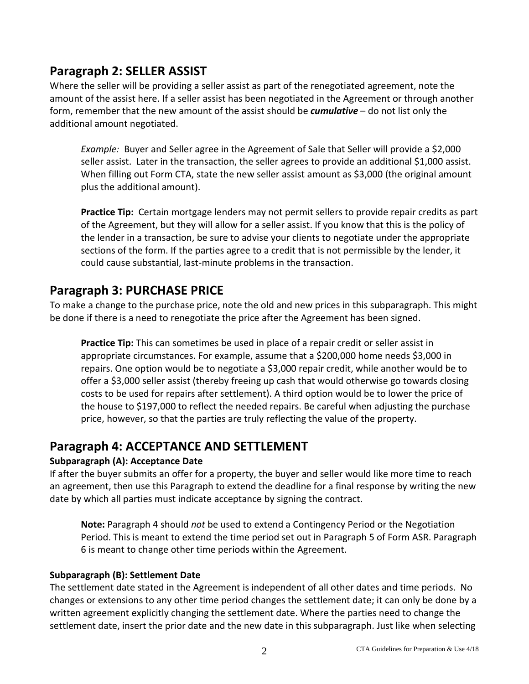# **Paragraph 2: SELLER ASSIST**

Where the seller will be providing a seller assist as part of the renegotiated agreement, note the amount of the assist here. If a seller assist has been negotiated in the Agreement or through another form, remember that the new amount of the assist should be *cumulative* – do not list only the additional amount negotiated.

*Example:* Buyer and Seller agree in the Agreement of Sale that Seller will provide a \$2,000 seller assist. Later in the transaction, the seller agrees to provide an additional \$1,000 assist. When filling out Form CTA, state the new seller assist amount as \$3,000 (the original amount plus the additional amount).

**Practice Tip:** Certain mortgage lenders may not permit sellers to provide repair credits as part of the Agreement, but they will allow for a seller assist. If you know that this is the policy of the lender in a transaction, be sure to advise your clients to negotiate under the appropriate sections of the form. If the parties agree to a credit that is not permissible by the lender, it could cause substantial, last-minute problems in the transaction.

## **Paragraph 3: PURCHASE PRICE**

To make a change to the purchase price, note the old and new prices in this subparagraph. This might be done if there is a need to renegotiate the price after the Agreement has been signed.

**Practice Tip:** This can sometimes be used in place of a repair credit or seller assist in appropriate circumstances. For example, assume that a \$200,000 home needs \$3,000 in repairs. One option would be to negotiate a \$3,000 repair credit, while another would be to offer a \$3,000 seller assist (thereby freeing up cash that would otherwise go towards closing costs to be used for repairs after settlement). A third option would be to lower the price of the house to \$197,000 to reflect the needed repairs. Be careful when adjusting the purchase price, however, so that the parties are truly reflecting the value of the property.

## **Paragraph 4: ACCEPTANCE AND SETTLEMENT**

#### **Subparagraph (A): Acceptance Date**

If after the buyer submits an offer for a property, the buyer and seller would like more time to reach an agreement, then use this Paragraph to extend the deadline for a final response by writing the new date by which all parties must indicate acceptance by signing the contract.

**Note:** Paragraph 4 should *not* be used to extend a Contingency Period or the Negotiation Period. This is meant to extend the time period set out in Paragraph 5 of Form ASR. Paragraph 6 is meant to change other time periods within the Agreement.

#### **Subparagraph (B): Settlement Date**

The settlement date stated in the Agreement is independent of all other dates and time periods. No changes or extensions to any other time period changes the settlement date; it can only be done by a written agreement explicitly changing the settlement date. Where the parties need to change the settlement date, insert the prior date and the new date in this subparagraph. Just like when selecting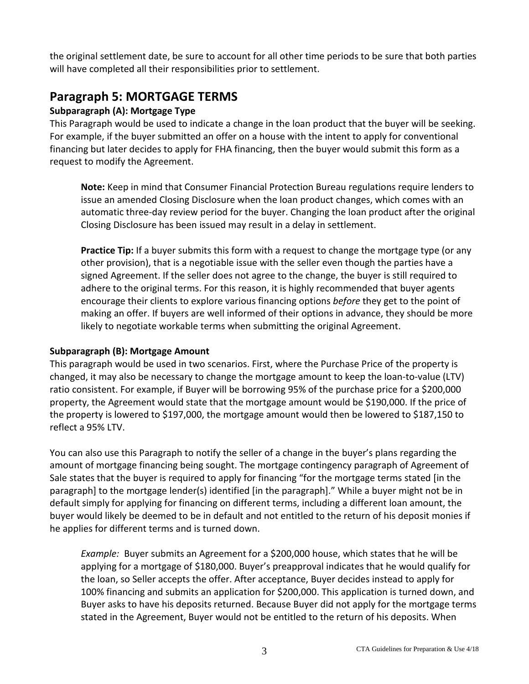the original settlement date, be sure to account for all other time periods to be sure that both parties will have completed all their responsibilities prior to settlement.

# **Paragraph 5: MORTGAGE TERMS**

#### **Subparagraph (A): Mortgage Type**

This Paragraph would be used to indicate a change in the loan product that the buyer will be seeking. For example, if the buyer submitted an offer on a house with the intent to apply for conventional financing but later decides to apply for FHA financing, then the buyer would submit this form as a request to modify the Agreement.

**Note:** Keep in mind that Consumer Financial Protection Bureau regulations require lenders to issue an amended Closing Disclosure when the loan product changes, which comes with an automatic three-day review period for the buyer. Changing the loan product after the original Closing Disclosure has been issued may result in a delay in settlement.

**Practice Tip:** If a buyer submits this form with a request to change the mortgage type (or any other provision), that is a negotiable issue with the seller even though the parties have a signed Agreement. If the seller does not agree to the change, the buyer is still required to adhere to the original terms. For this reason, it is highly recommended that buyer agents encourage their clients to explore various financing options *before* they get to the point of making an offer. If buyers are well informed of their options in advance, they should be more likely to negotiate workable terms when submitting the original Agreement.

#### **Subparagraph (B): Mortgage Amount**

This paragraph would be used in two scenarios. First, where the Purchase Price of the property is changed, it may also be necessary to change the mortgage amount to keep the loan-to-value (LTV) ratio consistent. For example, if Buyer will be borrowing 95% of the purchase price for a \$200,000 property, the Agreement would state that the mortgage amount would be \$190,000. If the price of the property is lowered to \$197,000, the mortgage amount would then be lowered to \$187,150 to reflect a 95% LTV.

You can also use this Paragraph to notify the seller of a change in the buyer's plans regarding the amount of mortgage financing being sought. The mortgage contingency paragraph of Agreement of Sale states that the buyer is required to apply for financing "for the mortgage terms stated [in the paragraph] to the mortgage lender(s) identified [in the paragraph]." While a buyer might not be in default simply for applying for financing on different terms, including a different loan amount, the buyer would likely be deemed to be in default and not entitled to the return of his deposit monies if he applies for different terms and is turned down.

*Example:* Buyer submits an Agreement for a \$200,000 house, which states that he will be applying for a mortgage of \$180,000. Buyer's preapproval indicates that he would qualify for the loan, so Seller accepts the offer. After acceptance, Buyer decides instead to apply for 100% financing and submits an application for \$200,000. This application is turned down, and Buyer asks to have his deposits returned. Because Buyer did not apply for the mortgage terms stated in the Agreement, Buyer would not be entitled to the return of his deposits. When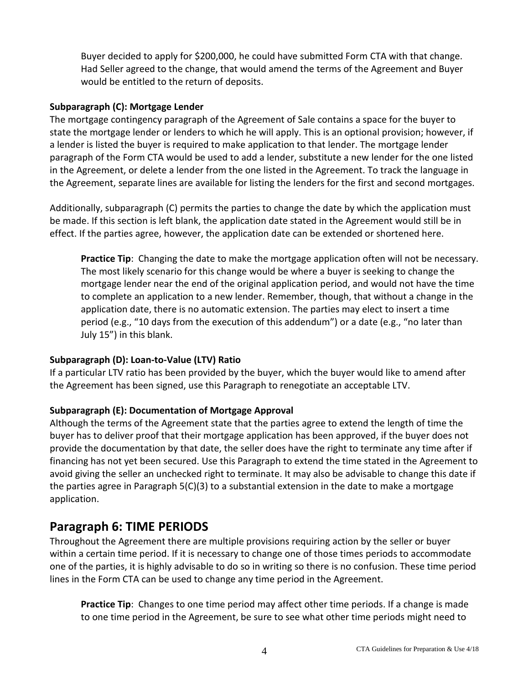Buyer decided to apply for \$200,000, he could have submitted Form CTA with that change. Had Seller agreed to the change, that would amend the terms of the Agreement and Buyer would be entitled to the return of deposits.

#### **Subparagraph (C): Mortgage Lender**

The mortgage contingency paragraph of the Agreement of Sale contains a space for the buyer to state the mortgage lender or lenders to which he will apply. This is an optional provision; however, if a lender is listed the buyer is required to make application to that lender. The mortgage lender paragraph of the Form CTA would be used to add a lender, substitute a new lender for the one listed in the Agreement, or delete a lender from the one listed in the Agreement. To track the language in the Agreement, separate lines are available for listing the lenders for the first and second mortgages.

Additionally, subparagraph (C) permits the parties to change the date by which the application must be made. If this section is left blank, the application date stated in the Agreement would still be in effect. If the parties agree, however, the application date can be extended or shortened here.

**Practice Tip**: Changing the date to make the mortgage application often will not be necessary. The most likely scenario for this change would be where a buyer is seeking to change the mortgage lender near the end of the original application period, and would not have the time to complete an application to a new lender. Remember, though, that without a change in the application date, there is no automatic extension. The parties may elect to insert a time period (e.g., "10 days from the execution of this addendum") or a date (e.g., "no later than July 15") in this blank.

#### **Subparagraph (D): Loan-to-Value (LTV) Ratio**

If a particular LTV ratio has been provided by the buyer, which the buyer would like to amend after the Agreement has been signed, use this Paragraph to renegotiate an acceptable LTV.

#### **Subparagraph (E): Documentation of Mortgage Approval**

Although the terms of the Agreement state that the parties agree to extend the length of time the buyer has to deliver proof that their mortgage application has been approved, if the buyer does not provide the documentation by that date, the seller does have the right to terminate any time after if financing has not yet been secured. Use this Paragraph to extend the time stated in the Agreement to avoid giving the seller an unchecked right to terminate. It may also be advisable to change this date if the parties agree in Paragraph 5(C)(3) to a substantial extension in the date to make a mortgage application.

### **Paragraph 6: TIME PERIODS**

Throughout the Agreement there are multiple provisions requiring action by the seller or buyer within a certain time period. If it is necessary to change one of those times periods to accommodate one of the parties, it is highly advisable to do so in writing so there is no confusion. These time period lines in the Form CTA can be used to change any time period in the Agreement.

**Practice Tip**: Changes to one time period may affect other time periods. If a change is made to one time period in the Agreement, be sure to see what other time periods might need to